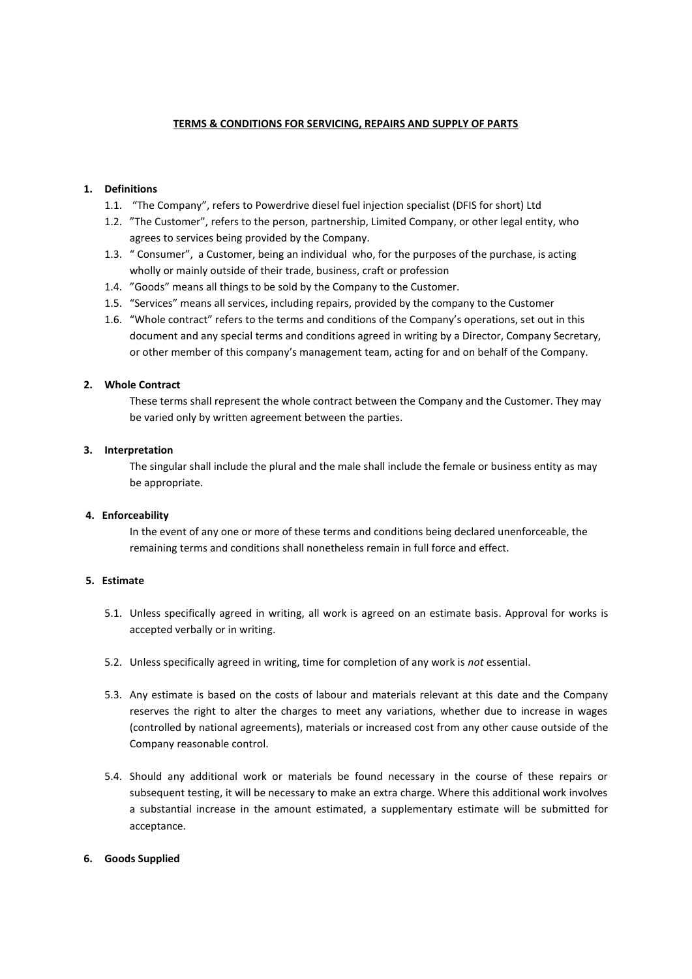# **TERMS & CONDITIONS FOR SERVICING, REPAIRS AND SUPPLY OF PARTS**

# **1. Definitions**

- 1.1. "The Company", refers to Powerdrive diesel fuel injection specialist (DFIS for short) Ltd
- 1.2. "The Customer", refers to the person, partnership, Limited Company, or other legal entity, who agrees to services being provided by the Company.
- 1.3. " Consumer", a Customer, being an individual who, for the purposes of the purchase, is acting wholly or mainly outside of their trade, business, craft or profession
- 1.4. "Goods" means all things to be sold by the Company to the Customer.
- 1.5. "Services" means all services, including repairs, provided by the company to the Customer
- 1.6. "Whole contract" refers to the terms and conditions of the Company's operations, set out in this document and any special terms and conditions agreed in writing by a Director, Company Secretary, or other member of this company's management team, acting for and on behalf of the Company.

# **2. Whole Contract**

These terms shall represent the whole contract between the Company and the Customer. They may be varied only by written agreement between the parties.

### **3. Interpretation**

The singular shall include the plural and the male shall include the female or business entity as may be appropriate.

# **4. Enforceability**

In the event of any one or more of these terms and conditions being declared unenforceable, the remaining terms and conditions shall nonetheless remain in full force and effect.

# **5. Estimate**

- 5.1. Unless specifically agreed in writing, all work is agreed on an estimate basis. Approval for works is accepted verbally or in writing.
- 5.2. Unless specifically agreed in writing, time for completion of any work is *not* essential.
- 5.3. Any estimate is based on the costs of labour and materials relevant at this date and the Company reserves the right to alter the charges to meet any variations, whether due to increase in wages (controlled by national agreements), materials or increased cost from any other cause outside of the Company reasonable control.
- 5.4. Should any additional work or materials be found necessary in the course of these repairs or subsequent testing, it will be necessary to make an extra charge. Where this additional work involves a substantial increase in the amount estimated, a supplementary estimate will be submitted for acceptance.

### **6. Goods Supplied**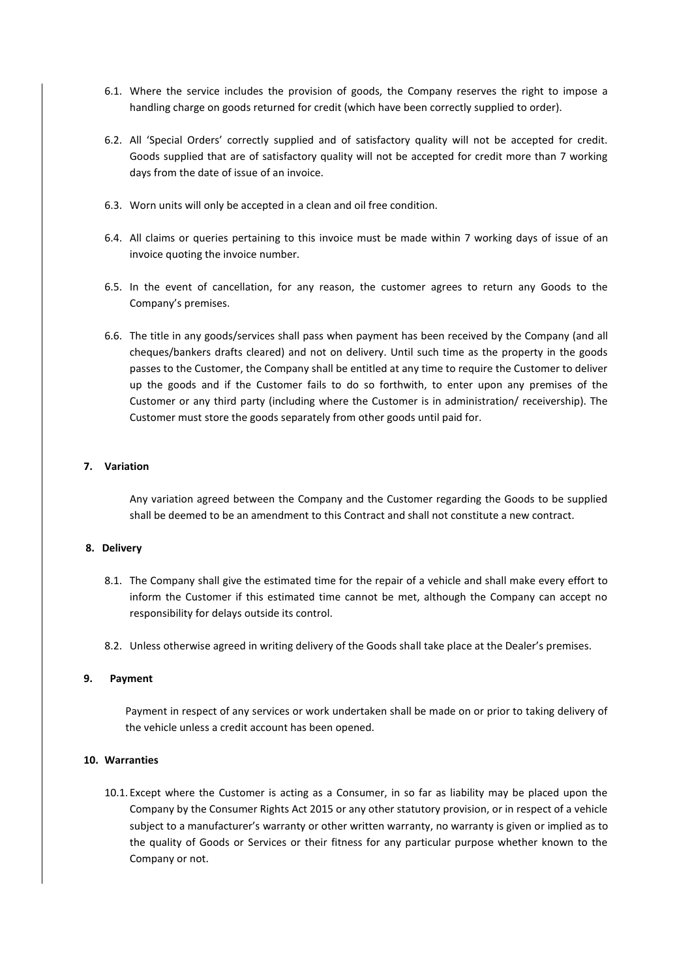- 6.1. Where the service includes the provision of goods, the Company reserves the right to impose a handling charge on goods returned for credit (which have been correctly supplied to order).
- 6.2. All 'Special Orders' correctly supplied and of satisfactory quality will not be accepted for credit. Goods supplied that are of satisfactory quality will not be accepted for credit more than 7 working days from the date of issue of an invoice.
- 6.3. Worn units will only be accepted in a clean and oil free condition.
- 6.4. All claims or queries pertaining to this invoice must be made within 7 working days of issue of an invoice quoting the invoice number.
- 6.5. In the event of cancellation, for any reason, the customer agrees to return any Goods to the Company's premises.
- 6.6. The title in any goods/services shall pass when payment has been received by the Company (and all cheques/bankers drafts cleared) and not on delivery. Until such time as the property in the goods passes to the Customer, the Company shall be entitled at any time to require the Customer to deliver up the goods and if the Customer fails to do so forthwith, to enter upon any premises of the Customer or any third party (including where the Customer is in administration/ receivership). The Customer must store the goods separately from other goods until paid for.

# **7. Variation**

Any variation agreed between the Company and the Customer regarding the Goods to be supplied shall be deemed to be an amendment to this Contract and shall not constitute a new contract.

### **8. Delivery**

- 8.1. The Company shall give the estimated time for the repair of a vehicle and shall make every effort to inform the Customer if this estimated time cannot be met, although the Company can accept no responsibility for delays outside its control.
- 8.2. Unless otherwise agreed in writing delivery of the Goods shall take place at the Dealer's premises.

# **9. Payment**

Payment in respect of any services or work undertaken shall be made on or prior to taking delivery of the vehicle unless a credit account has been opened.

### **10. Warranties**

10.1. Except where the Customer is acting as a Consumer, in so far as liability may be placed upon the Company by the Consumer Rights Act 2015 or any other statutory provision, or in respect of a vehicle subject to a manufacturer's warranty or other written warranty, no warranty is given or implied as to the quality of Goods or Services or their fitness for any particular purpose whether known to the Company or not.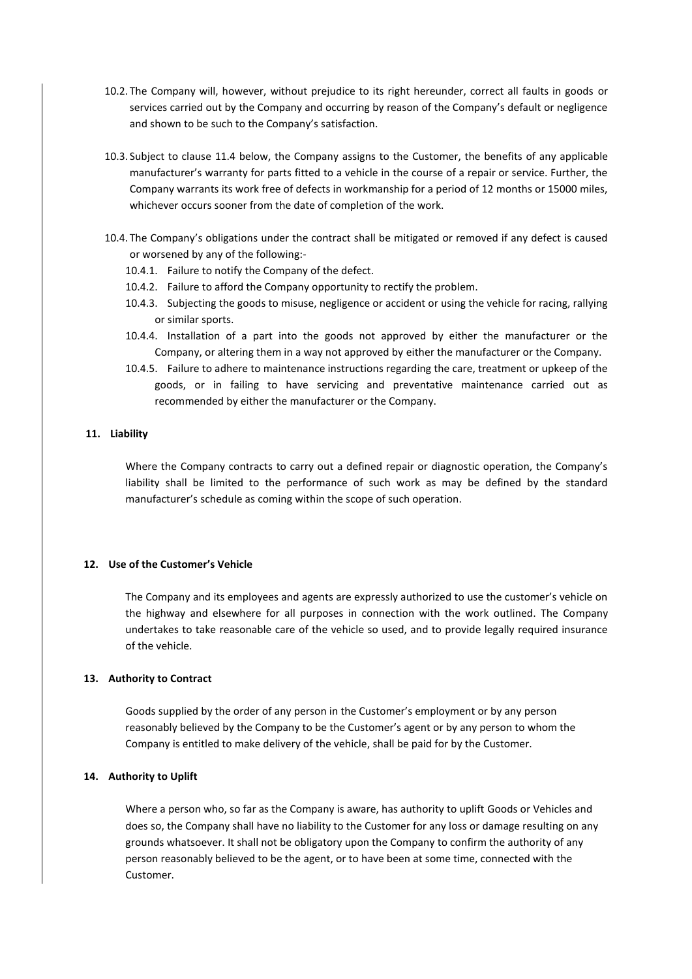- 10.2. The Company will, however, without prejudice to its right hereunder, correct all faults in goods or services carried out by the Company and occurring by reason of the Company's default or negligence and shown to be such to the Company's satisfaction.
- 10.3. Subject to clause 11.4 below, the Company assigns to the Customer, the benefits of any applicable manufacturer's warranty for parts fitted to a vehicle in the course of a repair or service. Further, the Company warrants its work free of defects in workmanship for a period of 12 months or 15000 miles, whichever occurs sooner from the date of completion of the work.
- 10.4. The Company's obligations under the contract shall be mitigated or removed if any defect is caused or worsened by any of the following:-
	- 10.4.1. Failure to notify the Company of the defect.
	- 10.4.2. Failure to afford the Company opportunity to rectify the problem.
	- 10.4.3. Subjecting the goods to misuse, negligence or accident or using the vehicle for racing, rallying or similar sports.
	- 10.4.4. Installation of a part into the goods not approved by either the manufacturer or the Company, or altering them in a way not approved by either the manufacturer or the Company.
	- 10.4.5. Failure to adhere to maintenance instructions regarding the care, treatment or upkeep of the goods, or in failing to have servicing and preventative maintenance carried out as recommended by either the manufacturer or the Company.

### **11. Liability**

Where the Company contracts to carry out a defined repair or diagnostic operation, the Company's liability shall be limited to the performance of such work as may be defined by the standard manufacturer's schedule as coming within the scope of such operation.

# **12. Use of the Customer's Vehicle**

The Company and its employees and agents are expressly authorized to use the customer's vehicle on the highway and elsewhere for all purposes in connection with the work outlined. The Company undertakes to take reasonable care of the vehicle so used, and to provide legally required insurance of the vehicle.

# **13. Authority to Contract**

Goods supplied by the order of any person in the Customer's employment or by any person reasonably believed by the Company to be the Customer's agent or by any person to whom the Company is entitled to make delivery of the vehicle, shall be paid for by the Customer.

### **14. Authority to Uplift**

Where a person who, so far as the Company is aware, has authority to uplift Goods or Vehicles and does so, the Company shall have no liability to the Customer for any loss or damage resulting on any grounds whatsoever. It shall not be obligatory upon the Company to confirm the authority of any person reasonably believed to be the agent, or to have been at some time, connected with the Customer.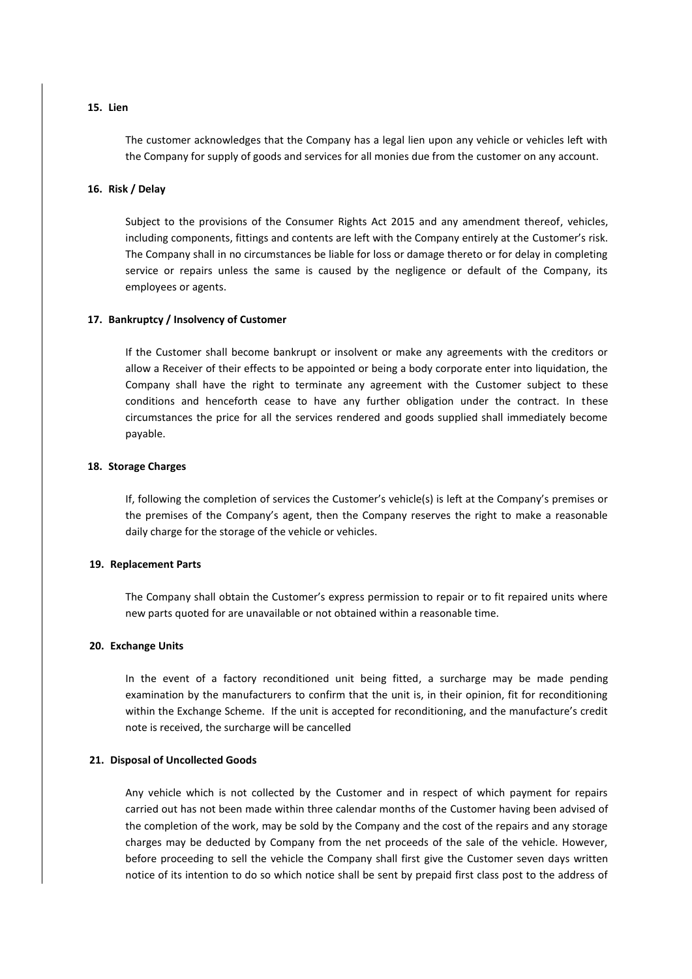# **15. Lien**

The customer acknowledges that the Company has a legal lien upon any vehicle or vehicles left with the Company for supply of goods and services for all monies due from the customer on any account.

#### **16. Risk / Delay**

Subject to the provisions of the Consumer Rights Act 2015 and any amendment thereof, vehicles, including components, fittings and contents are left with the Company entirely at the Customer's risk. The Company shall in no circumstances be liable for loss or damage thereto or for delay in completing service or repairs unless the same is caused by the negligence or default of the Company, its employees or agents.

#### **17. Bankruptcy / Insolvency of Customer**

If the Customer shall become bankrupt or insolvent or make any agreements with the creditors or allow a Receiver of their effects to be appointed or being a body corporate enter into liquidation, the Company shall have the right to terminate any agreement with the Customer subject to these conditions and henceforth cease to have any further obligation under the contract. In these circumstances the price for all the services rendered and goods supplied shall immediately become payable.

#### **18. Storage Charges**

If, following the completion of services the Customer's vehicle(s) is left at the Company's premises or the premises of the Company's agent, then the Company reserves the right to make a reasonable daily charge for the storage of the vehicle or vehicles.

# **19. Replacement Parts**

The Company shall obtain the Customer's express permission to repair or to fit repaired units where new parts quoted for are unavailable or not obtained within a reasonable time.

#### **20. Exchange Units**

In the event of a factory reconditioned unit being fitted, a surcharge may be made pending examination by the manufacturers to confirm that the unit is, in their opinion, fit for reconditioning within the Exchange Scheme. If the unit is accepted for reconditioning, and the manufacture's credit note is received, the surcharge will be cancelled

### **21. Disposal of Uncollected Goods**

Any vehicle which is not collected by the Customer and in respect of which payment for repairs carried out has not been made within three calendar months of the Customer having been advised of the completion of the work, may be sold by the Company and the cost of the repairs and any storage charges may be deducted by Company from the net proceeds of the sale of the vehicle. However, before proceeding to sell the vehicle the Company shall first give the Customer seven days written notice of its intention to do so which notice shall be sent by prepaid first class post to the address of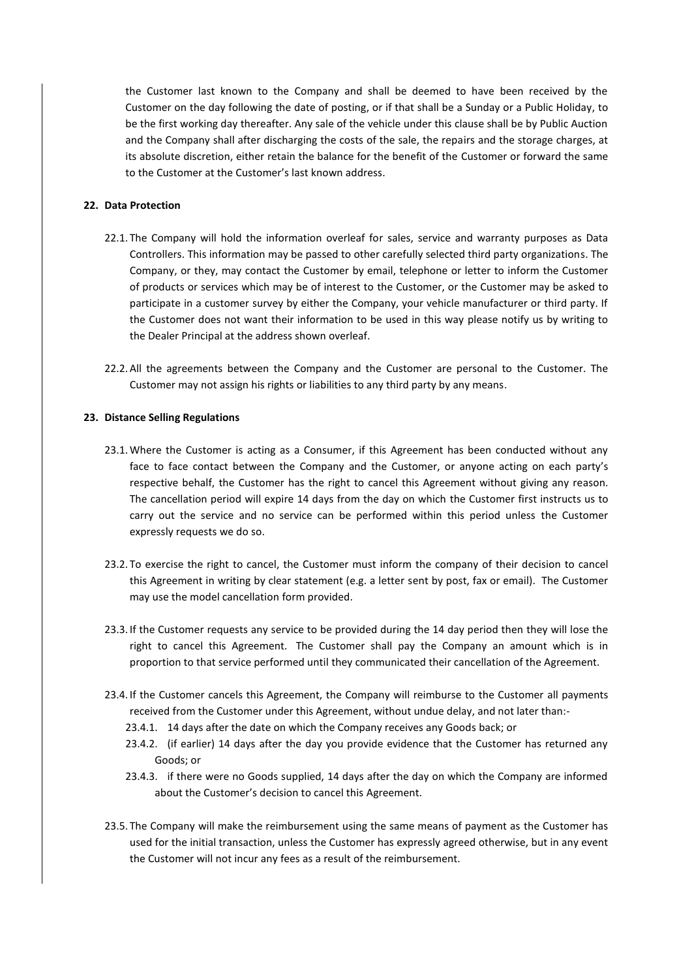the Customer last known to the Company and shall be deemed to have been received by the Customer on the day following the date of posting, or if that shall be a Sunday or a Public Holiday, to be the first working day thereafter. Any sale of the vehicle under this clause shall be by Public Auction and the Company shall after discharging the costs of the sale, the repairs and the storage charges, at its absolute discretion, either retain the balance for the benefit of the Customer or forward the same to the Customer at the Customer's last known address.

### **22. Data Protection**

- 22.1. The Company will hold the information overleaf for sales, service and warranty purposes as Data Controllers. This information may be passed to other carefully selected third party organizations. The Company, or they, may contact the Customer by email, telephone or letter to inform the Customer of products or services which may be of interest to the Customer, or the Customer may be asked to participate in a customer survey by either the Company, your vehicle manufacturer or third party. If the Customer does not want their information to be used in this way please notify us by writing to the Dealer Principal at the address shown overleaf.
- 22.2.All the agreements between the Company and the Customer are personal to the Customer. The Customer may not assign his rights or liabilities to any third party by any means.

#### **23. Distance Selling Regulations**

- 23.1.Where the Customer is acting as a Consumer, if this Agreement has been conducted without any face to face contact between the Company and the Customer, or anyone acting on each party's respective behalf, the Customer has the right to cancel this Agreement without giving any reason. The cancellation period will expire 14 days from the day on which the Customer first instructs us to carry out the service and no service can be performed within this period unless the Customer expressly requests we do so.
- 23.2. To exercise the right to cancel, the Customer must inform the company of their decision to cancel this Agreement in writing by clear statement (e.g. a letter sent by post, fax or email). The Customer may use the model cancellation form provided.
- 23.3. If the Customer requests any service to be provided during the 14 day period then they will lose the right to cancel this Agreement. The Customer shall pay the Company an amount which is in proportion to that service performed until they communicated their cancellation of the Agreement.
- 23.4. If the Customer cancels this Agreement, the Company will reimburse to the Customer all payments received from the Customer under this Agreement, without undue delay, and not later than:-
	- 23.4.1. 14 days after the date on which the Company receives any Goods back; or
	- 23.4.2. (if earlier) 14 days after the day you provide evidence that the Customer has returned any Goods; or
	- 23.4.3. if there were no Goods supplied, 14 days after the day on which the Company are informed about the Customer's decision to cancel this Agreement.
- 23.5. The Company will make the reimbursement using the same means of payment as the Customer has used for the initial transaction, unless the Customer has expressly agreed otherwise, but in any event the Customer will not incur any fees as a result of the reimbursement.